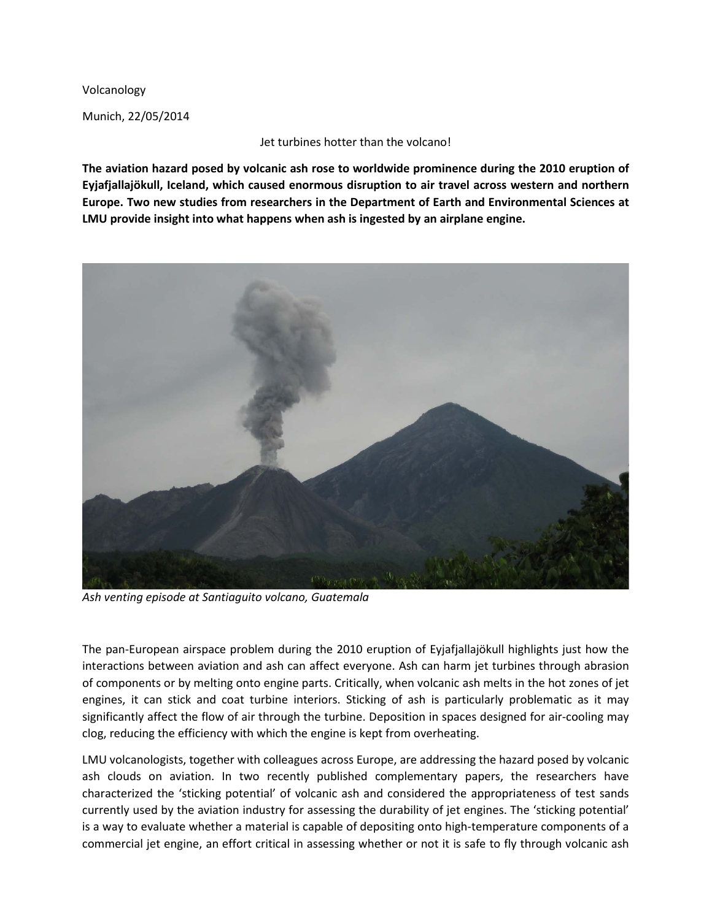Volcanology

Munich, 22/05/2014

Jet turbines hotter than the volcano!

**The aviation hazard posed by volcanic ash rose to worldwide prominence during the 2010 eruption of Eyjafjallajökull, Iceland, which caused enormous disruption to air travel across western and northern Europe. Two new studies from researchers in the Department of Earth and Environmental Sciences at LMU provide insight into what happens when ash is ingested by an airplane engine.**



*Ash venting episode at Santiaguito volcano, Guatemala*

The pan-European airspace problem during the 2010 eruption of Eyjafjallajökull highlights just how the interactions between aviation and ash can affect everyone. Ash can harm jet turbines through abrasion of components or by melting onto engine parts. Critically, when volcanic ash melts in the hot zones of jet engines, it can stick and coat turbine interiors. Sticking of ash is particularly problematic as it may significantly affect the flow of air through the turbine. Deposition in spaces designed for air-cooling may clog, reducing the efficiency with which the engine is kept from overheating.

LMU volcanologists, together with colleagues across Europe, are addressing the hazard posed by volcanic ash clouds on aviation. In two recently published complementary papers, the researchers have characterized the 'sticking potential' of volcanic ash and considered the appropriateness of test sands currently used by the aviation industry for assessing the durability of jet engines. The 'sticking potential' is a way to evaluate whether a material is capable of depositing onto high-temperature components of a commercial jet engine, an effort critical in assessing whether or not it is safe to fly through volcanic ash